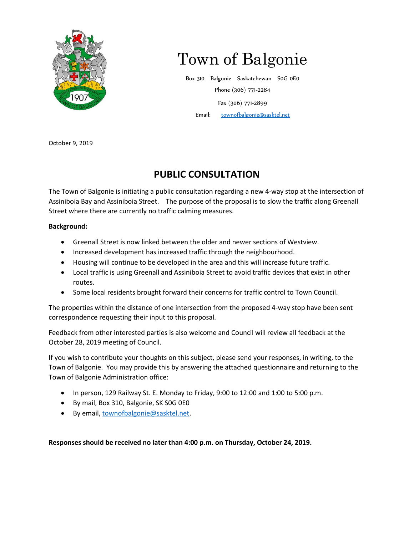

## Town of Balgonie

Box 310 Balgonie Saskatchewan S0G 0E0 Phone (306) 771-2284 Fax (306) 771-2899 Email: [townofbalgonie@sasktel.net](mailto:townofbalgonie@sasktel.net)

October 9, 2019

## **PUBLIC CONSULTATION**

The Town of Balgonie is initiating a public consultation regarding a new 4-way stop at the intersection of Assiniboia Bay and Assiniboia Street. The purpose of the proposal is to slow the traffic along Greenall Street where there are currently no traffic calming measures.

## **Background:**

- Greenall Street is now linked between the older and newer sections of Westview.
- Increased development has increased traffic through the neighbourhood.
- Housing will continue to be developed in the area and this will increase future traffic.
- Local traffic is using Greenall and Assiniboia Street to avoid traffic devices that exist in other routes.
- Some local residents brought forward their concerns for traffic control to Town Council.

The properties within the distance of one intersection from the proposed 4-way stop have been sent correspondence requesting their input to this proposal.

Feedback from other interested parties is also welcome and Council will review all feedback at the October 28, 2019 meeting of Council.

If you wish to contribute your thoughts on this subject, please send your responses, in writing, to the Town of Balgonie. You may provide this by answering the attached questionnaire and returning to the Town of Balgonie Administration office:

- In person, 129 Railway St. E. Monday to Friday, 9:00 to 12:00 and 1:00 to 5:00 p.m.
- By mail, Box 310, Balgonie, SK S0G 0E0
- By email, [townofbalgonie@sasktel.net.](mailto:townofbalgonie@sasktel.net)

**Responses should be received no later than 4:00 p.m. on Thursday, October 24, 2019.**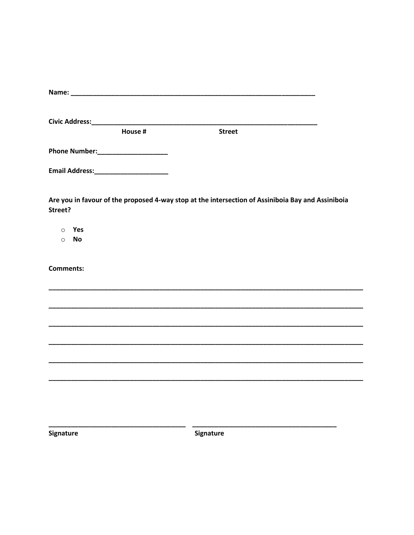| House #              | <b>Street</b>                                                                                     |
|----------------------|---------------------------------------------------------------------------------------------------|
|                      |                                                                                                   |
|                      |                                                                                                   |
|                      |                                                                                                   |
| Street?              | Are you in favour of the proposed 4-way stop at the intersection of Assiniboia Bay and Assiniboia |
| Yes<br>$\circ$       |                                                                                                   |
| <b>No</b><br>$\circ$ |                                                                                                   |
|                      |                                                                                                   |
| <b>Comments:</b>     |                                                                                                   |
|                      |                                                                                                   |
|                      |                                                                                                   |
|                      |                                                                                                   |
|                      |                                                                                                   |
|                      |                                                                                                   |
|                      |                                                                                                   |
|                      |                                                                                                   |
|                      |                                                                                                   |
|                      |                                                                                                   |

Signature

Signature